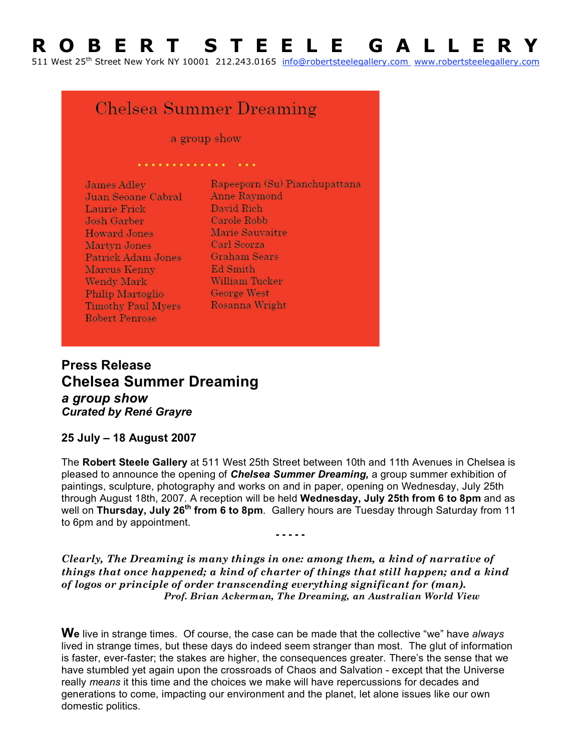## **R O B E R T S T E E L E G A L L E R Y**

511 West 25th Street New York NY 10001 212.243.0165 info@robertsteelegallery.com www.robertsteelegallery.com

## Chelsea Summer Dreaming

a group show

. . . . . . . . . . . . . . .

| <b>James Adley</b>        | Rapeeporn (Su) Pianchupattana |
|---------------------------|-------------------------------|
| Juan Seoane Cabral        | <b>Anne Raymond</b>           |
| Laurie Frick              | David Rich                    |
| Josh Garber               | Carole Robb                   |
| <b>Howard Jones</b>       | Marie Sauvaitre               |
| Martyn Jones              | Carl Scorza                   |
| Patrick Adam Jones        | <b>Graham Sears</b>           |
| Marcus Kenny              | Ed Smith                      |
| <b>Wendy Mark</b>         | William Tucker                |
| <b>Philip Martoglio</b>   | <b>George West</b>            |
| <b>Timothy Paul Myers</b> | Rosanna Wright                |
| <b>Robert Penrose</b>     |                               |
|                           |                               |

**Press Release Chelsea Summer Dreaming** *a group show Curated by René Grayre*

## **25 July – 18 August 2007**

The **Robert Steele Gallery** at 511 West 25th Street between 10th and 11th Avenues in Chelsea is pleased to announce the opening of *Chelsea Summer Dreaming,* a group summer exhibition of paintings, sculpture, photography and works on and in paper, opening on Wednesday, July 25th through August 18th, 2007. A reception will be held **Wednesday, July 25th from 6 to 8pm** and as well on Thursday, July 26<sup>th</sup> from 6 to 8pm. Gallery hours are Tuesday through Saturday from 11 to 6pm and by appointment.

**- - - - -**

*Clearly, The Dreaming is many things in one: among them, a kind of narrative of things that once happened; a kind of charter of things that still happen; and a kind of logos or principle of order transcending everything significant for (man). Prof. Brian Ackerman, The Dreaming, an Australian World View*

**We** live in strange times. Of course, the case can be made that the collective "we" have *always* lived in strange times, but these days do indeed seem stranger than most. The glut of information is faster, ever-faster; the stakes are higher, the consequences greater. There's the sense that we have stumbled yet again upon the crossroads of Chaos and Salvation - except that the Universe really *means* it this time and the choices we make will have repercussions for decades and generations to come, impacting our environment and the planet, let alone issues like our own domestic politics.